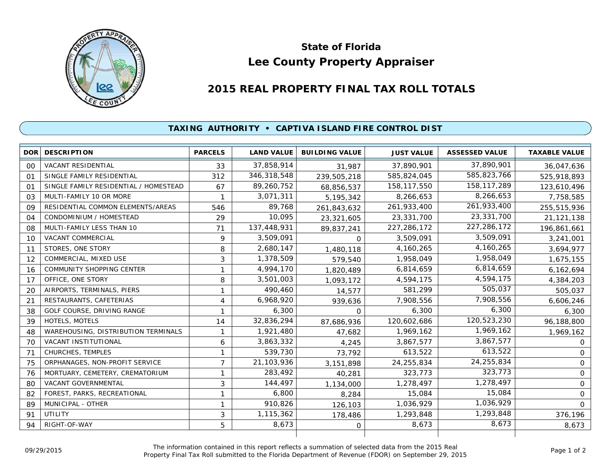

## **Lee County Property Appraiser State of Florida**

## **2015 REAL PROPERTY FINAL TAX ROLL TOTALS**

## **TAXING AUTHORITY • CAPTIVA ISLAND FIRE CONTROL DIST**

|                | <b>DOR DESCRIPTION</b>                | <b>PARCELS</b> | <b>LAND VALUE</b> | <b>BUILDING VALUE</b> | <b>JUST VALUE</b> | <b>ASSESSED VALUE</b> | <b>TAXABLE VALUE</b> |
|----------------|---------------------------------------|----------------|-------------------|-----------------------|-------------------|-----------------------|----------------------|
| 00             | <b>VACANT RESIDENTIAL</b>             | 33             | 37,858,914        | 31,987                | 37,890,901        | 37,890,901            | 36,047,636           |
| 01             | SINGLE FAMILY RESIDENTIAL             | 312            | 346,318,548       | 239,505,218           | 585,824,045       | 585,823,766           | 525,918,893          |
| O <sub>1</sub> | SINGLE FAMILY RESIDENTIAL / HOMESTEAD | 67             | 89,260,752        | 68,856,537            | 158,117,550       | 158, 117, 289         | 123,610,496          |
| 0.3            | MULTI-FAMILY 10 OR MORE               |                | 3,071,311         | 5,195,342             | 8,266,653         | 8,266,653             | 7,758,585            |
| 09             | RESIDENTIAL COMMON ELEMENTS/AREAS     | 546            | 89.768            | 261,843,632           | 261,933,400       | 261,933,400           | 255,515,936          |
| 04             | CONDOMINIUM / HOMESTEAD               | 29             | 10,095            | 23,321,605            | 23,331,700        | 23,331,700            | 21,121,138           |
| 08             | MULTI-FAMILY LESS THAN 10             | 71             | 137,448,931       | 89,837,241            | 227, 286, 172     | 227,286,172           | 196,861,661          |
| 10             | <b>VACANT COMMERCIAL</b>              | 9              | 3,509,091         | $\Omega$              | 3,509,091         | 3,509,091             | 3,241,001            |
| 11             | STORES, ONE STORY                     | 8              | 2,680,147         | 1,480,118             | 4,160,265         | 4,160,265             | 3,694,977            |
| 12             | COMMERCIAL, MIXED USE                 | 3              | 1,378,509         | 579,540               | 1,958,049         | 1,958,049             | 1,675,155            |
| 16             | <b>COMMUNITY SHOPPING CENTER</b>      | 1              | 4,994,170         | 1,820,489             | 6,814,659         | 6,814,659             | 6,162,694            |
| 17             | OFFICE, ONE STORY                     | 8              | 3,501,003         | 1,093,172             | 4,594,175         | 4,594,175             | 4,384,203            |
| 20             | AIRPORTS, TERMINALS, PIERS            |                | 490,460           | 14,577                | 581,299           | 505.037               | 505,037              |
| 21             | RESTAURANTS, CAFETERIAS               | 4              | 6,968,920         | 939,636               | 7,908,556         | 7,908,556             | 6,606,246            |
| 38             | GOLF COURSE, DRIVING RANGE            | 1              | 6,300             | $\Omega$              | 6,300             | 6,300                 | 6,300                |
| 39             | HOTELS, MOTELS                        | 14             | 32,836,294        | 87,686,936            | 120,602,686       | 120,523,230           | 96,188,800           |
| 48             | WAREHOUSING, DISTRIBUTION TERMINALS   | 1              | 1,921,480         | 47,682                | 1,969,162         | 1,969,162             | 1,969,162            |
| 70             | VACANT INSTITUTIONAL                  | 6              | 3,863,332         | 4,245                 | 3,867,577         | 3,867,577             | $\Omega$             |
| 71             | CHURCHES, TEMPLES                     | 1              | 539,730           | 73,792                | 613,522           | 613,522               | $\mathbf{O}$         |
| 75             | ORPHANAGES, NON-PROFIT SERVICE        | $\overline{7}$ | 21,103,936        | 3,151,898             | 24,255,834        | 24,255,834            | $\mathbf{O}$         |
| 76             | MORTUARY, CEMETERY, CREMATORIUM       | 1              | 283,492           | 40,281                | 323,773           | 323,773               | $\Omega$             |
| 80             | VACANT GOVERNMENTAL                   | 3              | 144,497           | 1,134,000             | 1,278,497         | 1,278,497             | $\mathsf{O}$         |
| 82             | FOREST, PARKS, RECREATIONAL           | 1              | 6,800             | 8,284                 | 15,084            | 15,084                | $\mathbf 0$          |
| 89             | MUNICIPAL - OTHER                     | 1              | 910,826           | 126,103               | 1,036,929         | 1,036,929             | $\Omega$             |
| 91             | <b>UTILITY</b>                        | 3              | 1,115,362         | 178,486               | 1,293,848         | 1,293,848             | 376,196              |
| 94             | RIGHT-OF-WAY                          | 5              | 8,673             | 0                     | 8,673             | 8,673                 | 8,673                |
|                |                                       |                |                   |                       |                   |                       |                      |

The information contained in this report reflects a summation of selected data from the 2015 Real Ine information contained in this report reflects a summation of selected data from the 2015 Real<br>Property Final Tax Roll submitted to the Florida Department of Revenue (FDOR) on September 29, 2015